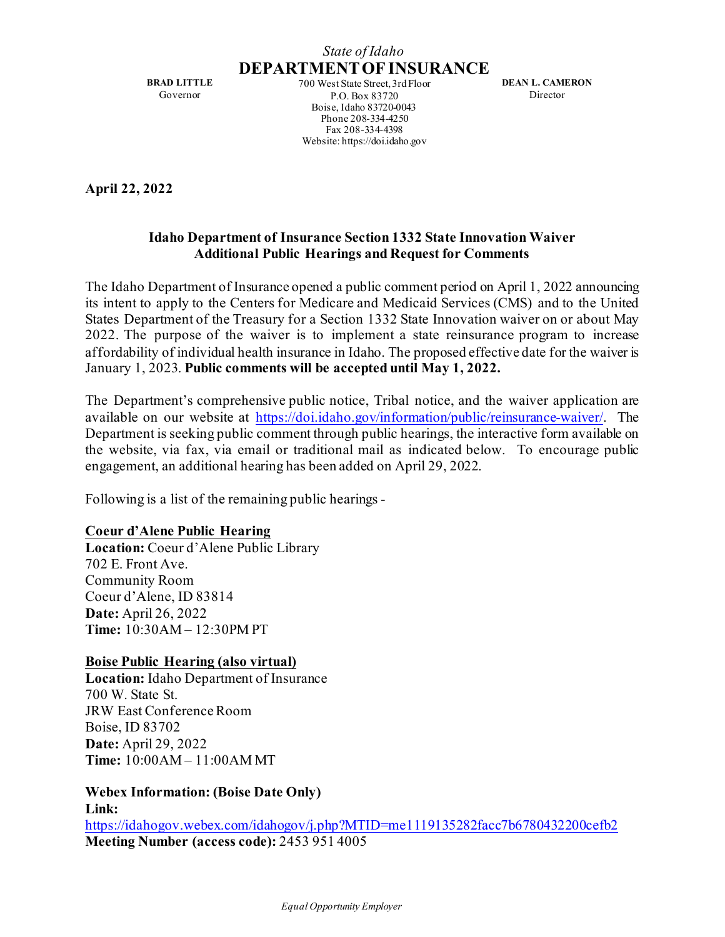## *State of Idaho* **DEPARTMENT OF INSURANCE**

**BRAD LITTLE** Governor

700 West State Street, 3rd Floor P.O. Box 83720 Boise, Idaho 83720-0043 Phone 208-334-4250 Fax 208-334-4398 Website: https://doi.idaho.gov

**DEAN L. CAMERON** Director

**April 22, 2022**

## **Idaho Department of Insurance Section 1332 State Innovation Waiver Additional Public Hearings and Request for Comments**

The Idaho Department of Insurance opened a public comment period on April 1, 2022 announcing its intent to apply to the Centers for Medicare and Medicaid Services (CMS) and to the United States Department of the Treasury for a Section 1332 State Innovation waiver on or about May 2022. The purpose of the waiver is to implement a state reinsurance program to increase affordability of individual health insurance in Idaho. The proposed effective date for the waiver is January 1, 2023. **Public comments will be accepted until May 1, 2022.**

The Department's comprehensive public notice, Tribal notice, and the waiver application are available on our website at [https://doi.idaho.gov/information/public/reinsurance-waiver/.](https://doi.idaho.gov/information/public/reinsurance-waiver/) The Department is seeking public comment through public hearings, the interactive form available on the website, via fax, via email or traditional mail as indicated below. To encourage public engagement, an additional hearing has been added on April 29, 2022.

Following is a list of the remaining public hearings -

## **Coeur d'Alene Public Hearing**

**Location:** Coeur d'Alene Public Library 702 E. Front Ave. Community Room Coeur d'Alene, ID 83814 **Date:** April 26, 2022 **Time:** 10:30AM – 12:30PM PT

## **Boise Public Hearing (also virtual)**

**Location:** Idaho Department of Insurance 700 W. State St. JRW East Conference Room Boise, ID 83702 **Date:** April 29, 2022 **Time:** 10:00AM – 11:00AM MT

**Webex Information: (Boise Date Only) Link:** <https://idahogov.webex.com/idahogov/j.php?MTID=me1119135282facc7b6780432200cefb2> **Meeting Number (access code):** 2453 951 4005